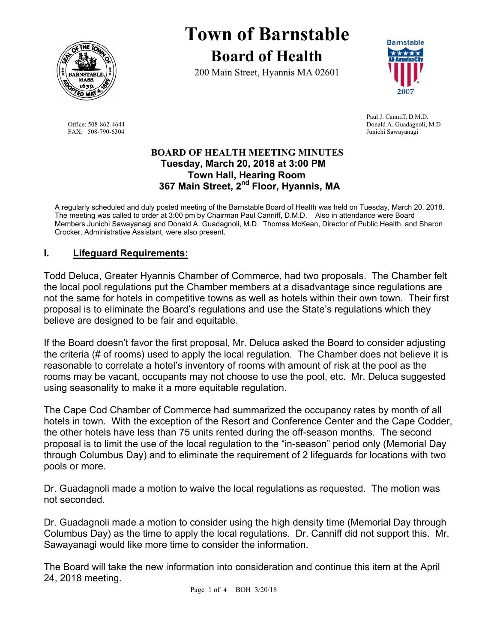

**Town of Barnstable Board of Health**

200 Main Street, Hyannis MA 02601



 Paul J. Canniff, D.M.D. Office: 508-862-4644 Donald A. Guadagnoli, M.D FAX: 508-790-6304 Junichi Sawayanagi

#### **BOARD OF HEALTH MEETING MINUTES Tuesday, March 20, 2018 at 3:00 PM Town Hall, Hearing Room 367 Main Street, 2nd Floor, Hyannis, MA**

A regularly scheduled and duly posted meeting of the Barnstable Board of Health was held on Tuesday, March 20, 2018. The meeting was called to order at 3:00 pm by Chairman Paul Canniff, D.M.D. Also in attendance were Board Members Junichi Sawayanagi and Donald A. Guadagnoli, M.D. Thomas McKean, Director of Public Health, and Sharon Crocker, Administrative Assistant, were also present.

## **I. Lifeguard Requirements:**

Todd Deluca, Greater Hyannis Chamber of Commerce, had two proposals. The Chamber felt the local pool regulations put the Chamber members at a disadvantage since regulations are not the same for hotels in competitive towns as well as hotels within their own town. Their first proposal is to eliminate the Board's regulations and use the State's regulations which they believe are designed to be fair and equitable.

If the Board doesn't favor the first proposal, Mr. Deluca asked the Board to consider adjusting the criteria (# of rooms) used to apply the local regulation. The Chamber does not believe it is reasonable to correlate a hotel's inventory of rooms with amount of risk at the pool as the rooms may be vacant, occupants may not choose to use the pool, etc. Mr. Deluca suggested using seasonality to make it a more equitable regulation.

The Cape Cod Chamber of Commerce had summarized the occupancy rates by month of all hotels in town. With the exception of the Resort and Conference Center and the Cape Codder, the other hotels have less than 75 units rented during the off-season months. The second proposal is to limit the use of the local regulation to the "in-season" period only (Memorial Day through Columbus Day) and to eliminate the requirement of 2 lifeguards for locations with two pools or more.

Dr. Guadagnoli made a motion to waive the local regulations as requested. The motion was not seconded.

Dr. Guadagnoli made a motion to consider using the high density time (Memorial Day through Columbus Day) as the time to apply the local regulations. Dr. Canniff did not support this. Mr. Sawayanagi would like more time to consider the information.

The Board will take the new information into consideration and continue this item at the April 24, 2018 meeting.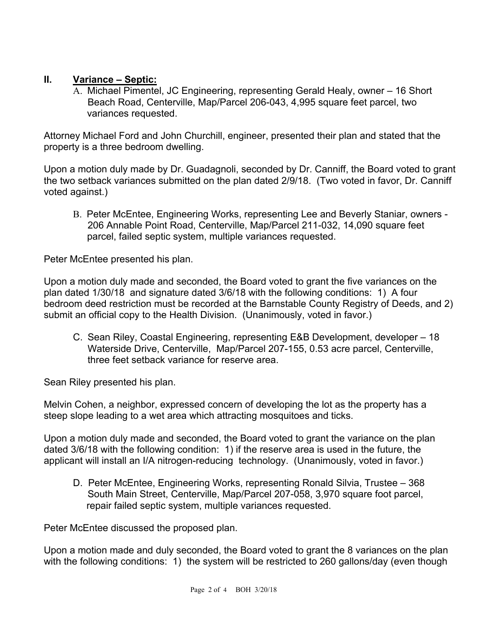## **II. Variance – Septic:**

 A. Michael Pimentel, JC Engineering, representing Gerald Healy, owner – 16 Short Beach Road, Centerville, Map/Parcel 206-043, 4,995 square feet parcel, two variances requested.

Attorney Michael Ford and John Churchill, engineer, presented their plan and stated that the property is a three bedroom dwelling.

Upon a motion duly made by Dr. Guadagnoli, seconded by Dr. Canniff, the Board voted to grant the two setback variances submitted on the plan dated 2/9/18. (Two voted in favor, Dr. Canniff voted against.)

B. Peter McEntee, Engineering Works, representing Lee and Beverly Staniar, owners - 206 Annable Point Road, Centerville, Map/Parcel 211-032, 14,090 square feet parcel, failed septic system, multiple variances requested.

Peter McEntee presented his plan.

Upon a motion duly made and seconded, the Board voted to grant the five variances on the plan dated 1/30/18 and signature dated 3/6/18 with the following conditions: 1) A four bedroom deed restriction must be recorded at the Barnstable County Registry of Deeds, and 2) submit an official copy to the Health Division. (Unanimously, voted in favor.)

C. Sean Riley, Coastal Engineering, representing E&B Development, developer – 18 Waterside Drive, Centerville, Map/Parcel 207-155, 0.53 acre parcel, Centerville, three feet setback variance for reserve area.

Sean Riley presented his plan.

Melvin Cohen, a neighbor, expressed concern of developing the lot as the property has a steep slope leading to a wet area which attracting mosquitoes and ticks.

Upon a motion duly made and seconded, the Board voted to grant the variance on the plan dated 3/6/18 with the following condition: 1) if the reserve area is used in the future, the applicant will install an I/A nitrogen-reducing technology. (Unanimously, voted in favor.)

D. Peter McEntee, Engineering Works, representing Ronald Silvia, Trustee – 368 South Main Street, Centerville, Map/Parcel 207-058, 3,970 square foot parcel, repair failed septic system, multiple variances requested.

Peter McEntee discussed the proposed plan.

Upon a motion made and duly seconded, the Board voted to grant the 8 variances on the plan with the following conditions: 1) the system will be restricted to 260 gallons/day (even though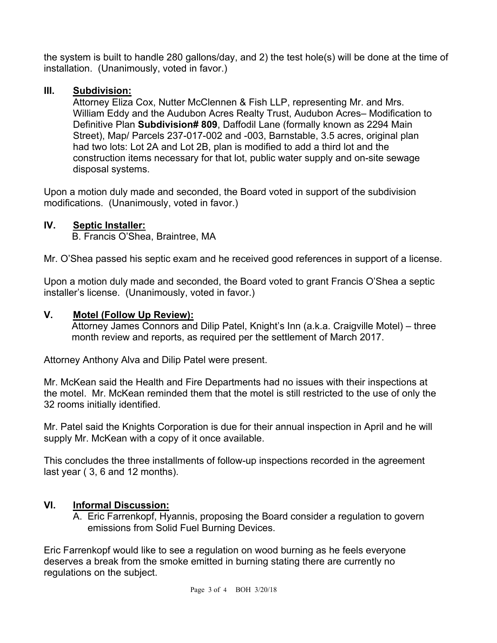the system is built to handle 280 gallons/day, and 2) the test hole(s) will be done at the time of installation. (Unanimously, voted in favor.)

## **III. Subdivision:**

Attorney Eliza Cox, Nutter McClennen & Fish LLP, representing Mr. and Mrs. William Eddy and the Audubon Acres Realty Trust, Audubon Acres– Modification to Definitive Plan **Subdivision# 809**, Daffodil Lane (formally known as 2294 Main Street), Map/ Parcels 237-017-002 and -003, Barnstable, 3.5 acres, original plan had two lots: Lot 2A and Lot 2B, plan is modified to add a third lot and the construction items necessary for that lot, public water supply and on-site sewage disposal systems.

Upon a motion duly made and seconded, the Board voted in support of the subdivision modifications. (Unanimously, voted in favor.)

## **IV. Septic Installer:**

B. Francis O'Shea, Braintree, MA

Mr. O'Shea passed his septic exam and he received good references in support of a license.

Upon a motion duly made and seconded, the Board voted to grant Francis O'Shea a septic installer's license. (Unanimously, voted in favor.)

#### **V. Motel (Follow Up Review):**

Attorney James Connors and Dilip Patel, Knight's Inn (a.k.a. Craigville Motel) – three month review and reports, as required per the settlement of March 2017.

Attorney Anthony Alva and Dilip Patel were present.

Mr. McKean said the Health and Fire Departments had no issues with their inspections at the motel. Mr. McKean reminded them that the motel is still restricted to the use of only the 32 rooms initially identified.

Mr. Patel said the Knights Corporation is due for their annual inspection in April and he will supply Mr. McKean with a copy of it once available.

This concludes the three installments of follow-up inspections recorded in the agreement last year ( 3, 6 and 12 months).

# **VI. Informal Discussion:**

A. Eric Farrenkopf, Hyannis, proposing the Board consider a regulation to govern emissions from Solid Fuel Burning Devices.

Eric Farrenkopf would like to see a regulation on wood burning as he feels everyone deserves a break from the smoke emitted in burning stating there are currently no regulations on the subject.